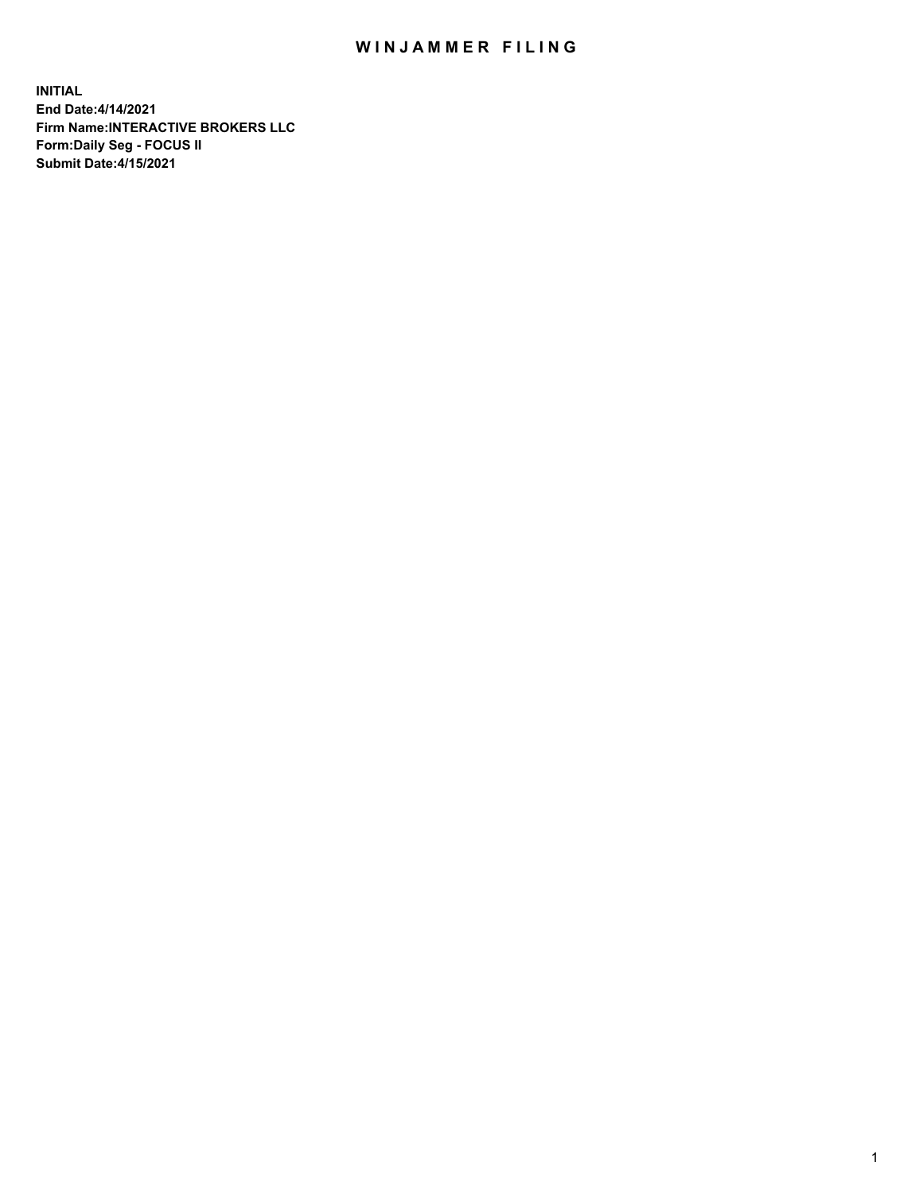## WIN JAMMER FILING

**INITIAL End Date:4/14/2021 Firm Name:INTERACTIVE BROKERS LLC Form:Daily Seg - FOCUS II Submit Date:4/15/2021**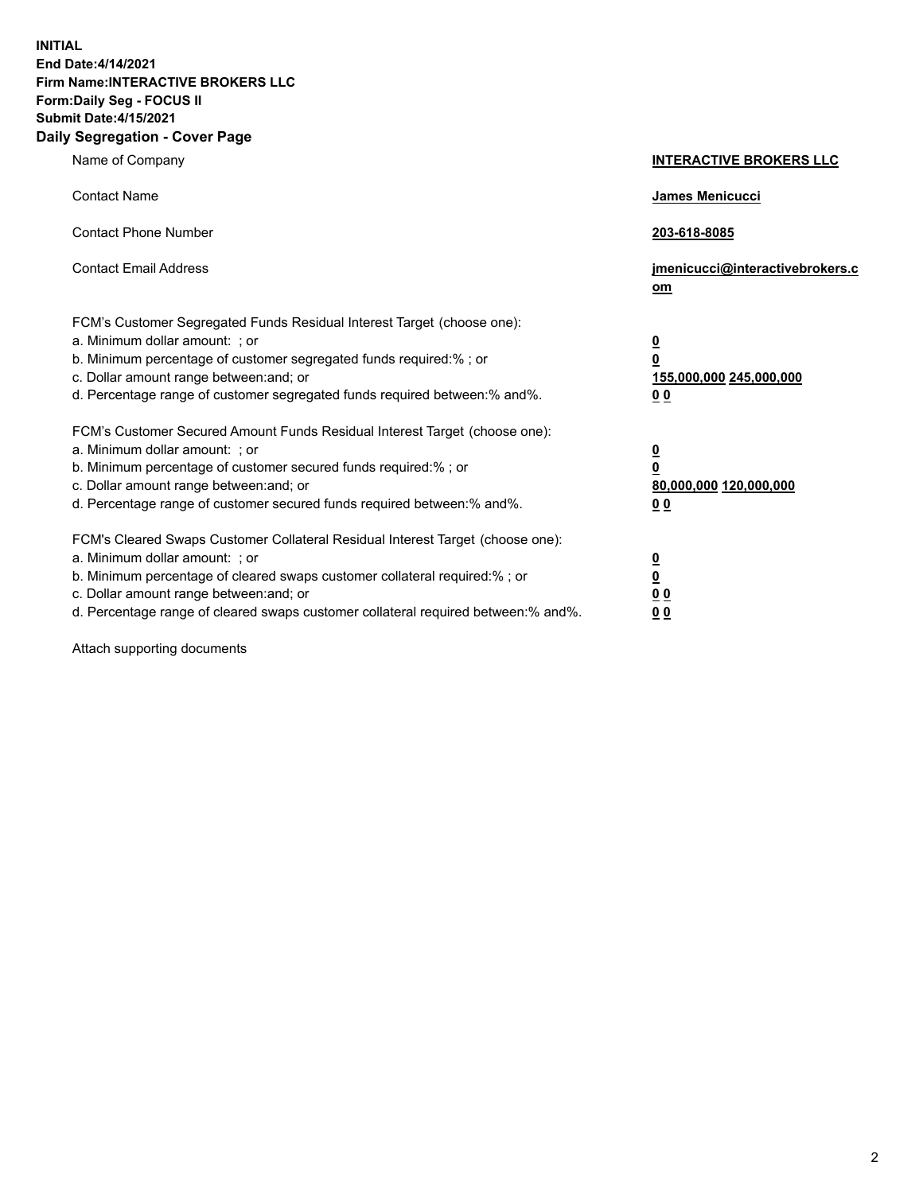**INITIAL End Date:4/14/2021 Firm Name:INTERACTIVE BROKERS LLC Form:Daily Seg - FOCUS II Submit Date:4/15/2021 Daily Segregation - Cover Page**

| Name of Company                                                                                                                                                                                                                                                                                                                | <b>INTERACTIVE BROKERS LLC</b>                                                                           |
|--------------------------------------------------------------------------------------------------------------------------------------------------------------------------------------------------------------------------------------------------------------------------------------------------------------------------------|----------------------------------------------------------------------------------------------------------|
| <b>Contact Name</b>                                                                                                                                                                                                                                                                                                            | James Menicucci                                                                                          |
| <b>Contact Phone Number</b>                                                                                                                                                                                                                                                                                                    | 203-618-8085                                                                                             |
| <b>Contact Email Address</b>                                                                                                                                                                                                                                                                                                   | jmenicucci@interactivebrokers.c<br>om                                                                    |
| FCM's Customer Segregated Funds Residual Interest Target (choose one):<br>a. Minimum dollar amount: ; or<br>b. Minimum percentage of customer segregated funds required:%; or<br>c. Dollar amount range between: and; or<br>d. Percentage range of customer segregated funds required between:% and%.                          | <u>0</u><br>$\overline{\mathbf{0}}$<br>155,000,000 245,000,000<br>0 <sub>0</sub>                         |
| FCM's Customer Secured Amount Funds Residual Interest Target (choose one):<br>a. Minimum dollar amount: ; or<br>b. Minimum percentage of customer secured funds required:%; or<br>c. Dollar amount range between: and; or<br>d. Percentage range of customer secured funds required between:% and%.                            | <u>0</u><br>$\overline{\mathbf{0}}$<br>80,000,000 120,000,000<br><u>00</u>                               |
| FCM's Cleared Swaps Customer Collateral Residual Interest Target (choose one):<br>a. Minimum dollar amount: ; or<br>b. Minimum percentage of cleared swaps customer collateral required:% ; or<br>c. Dollar amount range between: and; or<br>d. Percentage range of cleared swaps customer collateral required between:% and%. | $\overline{\mathbf{0}}$<br>$\underline{\mathbf{0}}$<br>$\underline{0}$ $\underline{0}$<br>0 <sub>0</sub> |

Attach supporting documents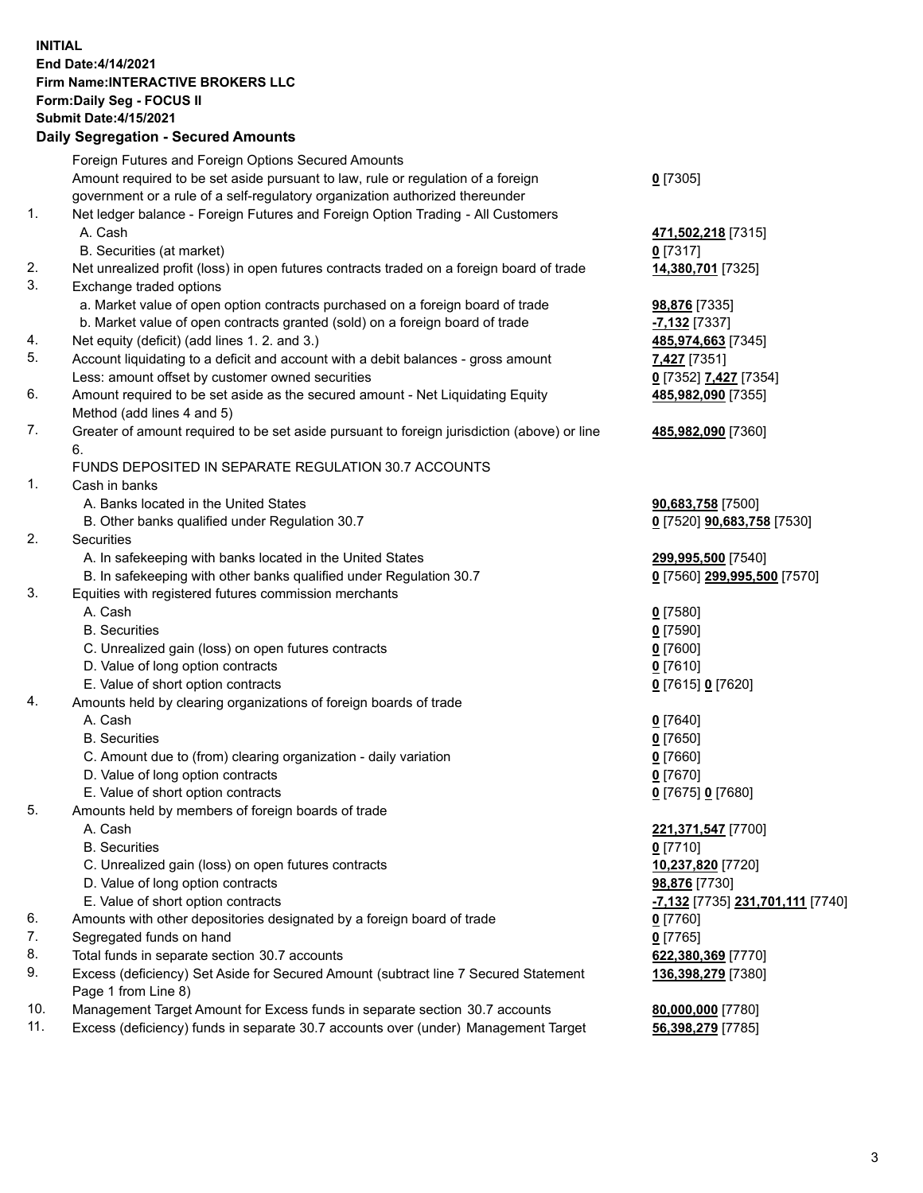## **INITIAL End Date:4/14/2021 Firm Name:INTERACTIVE BROKERS LLC Form:Daily Seg - FOCUS II Submit Date:4/15/2021 Daily Segregation - Secured Amounts**

|     | Daily Segregation - Secured Aniounts                                                                 |                                               |
|-----|------------------------------------------------------------------------------------------------------|-----------------------------------------------|
|     | Foreign Futures and Foreign Options Secured Amounts                                                  |                                               |
|     | Amount required to be set aside pursuant to law, rule or regulation of a foreign                     | $0$ [7305]                                    |
|     | government or a rule of a self-regulatory organization authorized thereunder                         |                                               |
| 1.  | Net ledger balance - Foreign Futures and Foreign Option Trading - All Customers                      |                                               |
|     | A. Cash                                                                                              | 471,502,218 [7315]                            |
|     | B. Securities (at market)                                                                            | $0$ [7317]                                    |
| 2.  | Net unrealized profit (loss) in open futures contracts traded on a foreign board of trade            | 14,380,701 [7325]                             |
| 3.  | Exchange traded options                                                                              |                                               |
|     | a. Market value of open option contracts purchased on a foreign board of trade                       | 98,876 [7335]                                 |
|     | b. Market value of open contracts granted (sold) on a foreign board of trade                         | $-7,132$ [7337]                               |
| 4.  | Net equity (deficit) (add lines 1. 2. and 3.)                                                        | 485,974,663 [7345]                            |
| 5.  | Account liquidating to a deficit and account with a debit balances - gross amount                    | 7,427 [7351]                                  |
|     | Less: amount offset by customer owned securities                                                     | 0 [7352] 7,427 [7354]                         |
| 6.  | Amount required to be set aside as the secured amount - Net Liquidating Equity                       | 485,982,090 [7355]                            |
|     | Method (add lines 4 and 5)                                                                           |                                               |
| 7.  | Greater of amount required to be set aside pursuant to foreign jurisdiction (above) or line          | 485,982,090 [7360]                            |
|     | 6.                                                                                                   |                                               |
|     | FUNDS DEPOSITED IN SEPARATE REGULATION 30.7 ACCOUNTS                                                 |                                               |
| 1.  | Cash in banks                                                                                        |                                               |
|     | A. Banks located in the United States                                                                | 90,683,758 [7500]                             |
|     | B. Other banks qualified under Regulation 30.7                                                       | 0 [7520] <b>90,683,758</b> [7530]             |
| 2.  | Securities                                                                                           |                                               |
|     | A. In safekeeping with banks located in the United States                                            | 299,995,500 [7540]                            |
|     | B. In safekeeping with other banks qualified under Regulation 30.7                                   | 0 [7560] 299,995,500 [7570]                   |
| 3.  | Equities with registered futures commission merchants                                                |                                               |
|     | A. Cash                                                                                              | $0$ [7580]                                    |
|     | <b>B.</b> Securities                                                                                 | $0$ [7590]                                    |
|     | C. Unrealized gain (loss) on open futures contracts                                                  | $0$ [7600]                                    |
|     | D. Value of long option contracts                                                                    | $0$ [7610]                                    |
|     | E. Value of short option contracts                                                                   | 0 [7615] 0 [7620]                             |
| 4.  | Amounts held by clearing organizations of foreign boards of trade                                    |                                               |
|     | A. Cash                                                                                              | $0$ [7640]                                    |
|     | <b>B.</b> Securities                                                                                 | $0$ [7650]                                    |
|     | C. Amount due to (from) clearing organization - daily variation<br>D. Value of long option contracts | $0$ [7660]<br>$0$ [7670]                      |
|     | E. Value of short option contracts                                                                   |                                               |
| 5.  | Amounts held by members of foreign boards of trade                                                   | 0 [7675] 0 [7680]                             |
|     | A. Cash                                                                                              | 221,371,547 [7700]                            |
|     | <b>B.</b> Securities                                                                                 | $0$ [7710]                                    |
|     | C. Unrealized gain (loss) on open futures contracts                                                  | 10,237,820 [7720]                             |
|     | D. Value of long option contracts                                                                    | 98,876 [7730]                                 |
|     | E. Value of short option contracts                                                                   | <mark>-7,132</mark> [7735] 231,701,111 [7740] |
| 6.  | Amounts with other depositories designated by a foreign board of trade                               | $0$ [7760]                                    |
| 7.  | Segregated funds on hand                                                                             | $0$ [7765]                                    |
| 8.  | Total funds in separate section 30.7 accounts                                                        | 622,380,369 [7770]                            |
| 9.  | Excess (deficiency) Set Aside for Secured Amount (subtract line 7 Secured Statement                  | 136,398,279 [7380]                            |
|     | Page 1 from Line 8)                                                                                  |                                               |
| 10. | Management Target Amount for Excess funds in separate section 30.7 accounts                          | 80,000,000 [7780]                             |
| 11. | Excess (deficiency) funds in separate 30.7 accounts over (under) Management Target                   | 56,398,279 [7785]                             |
|     |                                                                                                      |                                               |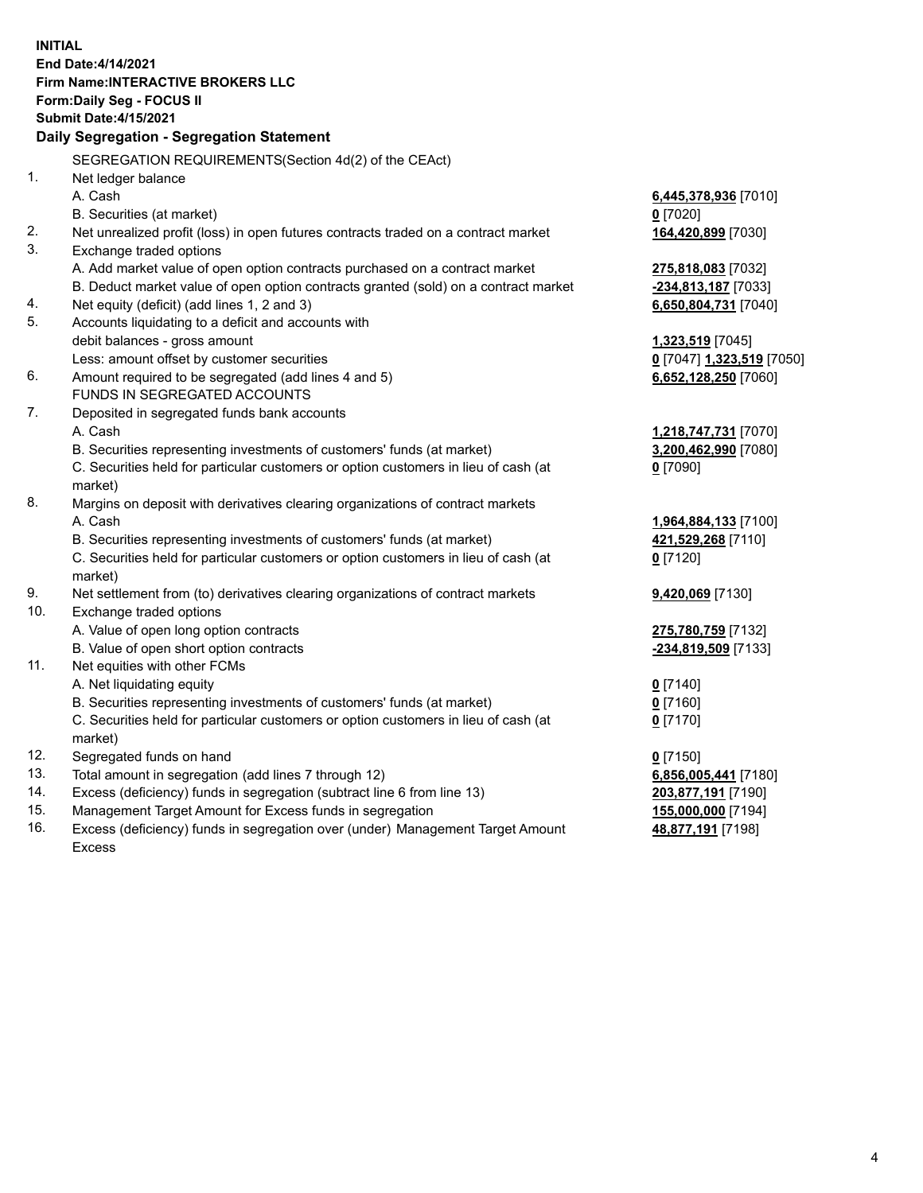**INITIAL End Date:4/14/2021 Firm Name:INTERACTIVE BROKERS LLC Form:Daily Seg - FOCUS II Submit Date:4/15/2021 Daily Segregation - Segregation Statement** SEGREGATION REQUIREMENTS(Section 4d(2) of the CEAct) 1. Net ledger balance A. Cash **6,445,378,936** [7010] B. Securities (at market) **0** [7020] 2. Net unrealized profit (loss) in open futures contracts traded on a contract market **164,420,899** [7030] 3. Exchange traded options A. Add market value of open option contracts purchased on a contract market **275,818,083** [7032] B. Deduct market value of open option contracts granted (sold) on a contract market **-234,813,187** [7033] 4. Net equity (deficit) (add lines 1, 2 and 3) **6,650,804,731** [7040] 5. Accounts liquidating to a deficit and accounts with debit balances - gross amount **1,323,519** [7045] Less: amount offset by customer securities **0** [7047] **1,323,519** [7050] 6. Amount required to be segregated (add lines 4 and 5) **6,652,128,250** [7060] FUNDS IN SEGREGATED ACCOUNTS 7. Deposited in segregated funds bank accounts A. Cash **1,218,747,731** [7070] B. Securities representing investments of customers' funds (at market) **3,200,462,990** [7080] C. Securities held for particular customers or option customers in lieu of cash (at market) **0** [7090] 8. Margins on deposit with derivatives clearing organizations of contract markets A. Cash **1,964,884,133** [7100] B. Securities representing investments of customers' funds (at market) **421,529,268** [7110] C. Securities held for particular customers or option customers in lieu of cash (at market) **0** [7120] 9. Net settlement from (to) derivatives clearing organizations of contract markets **9,420,069** [7130] 10. Exchange traded options A. Value of open long option contracts **275,780,759** [7132] B. Value of open short option contracts **-234,819,509** [7133] 11. Net equities with other FCMs A. Net liquidating equity **0** [7140] B. Securities representing investments of customers' funds (at market) **0** [7160] C. Securities held for particular customers or option customers in lieu of cash (at market) **0** [7170] 12. Segregated funds on hand **0** [7150] 13. Total amount in segregation (add lines 7 through 12) **6,856,005,441** [7180] 14. Excess (deficiency) funds in segregation (subtract line 6 from line 13) **203,877,191** [7190] 15. Management Target Amount for Excess funds in segregation **155,000,000** [7194] **48,877,191** [7198]

16. Excess (deficiency) funds in segregation over (under) Management Target Amount Excess